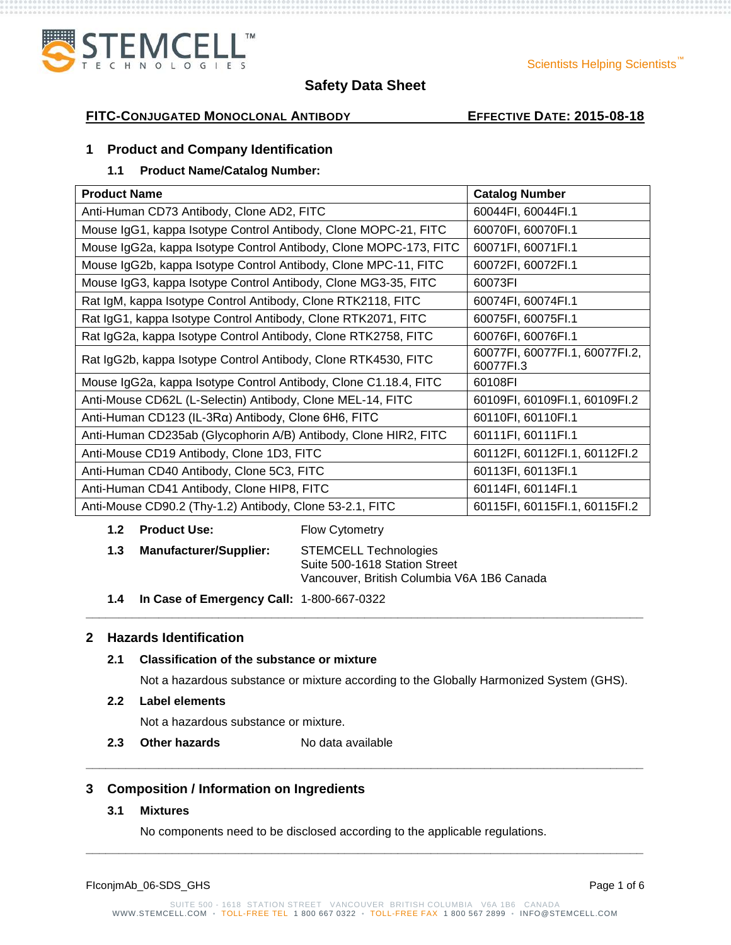

#### Scientists Helping Scientists"

## **Safety Data Sheet**

## **FITC-CONJUGATED MONOCLONAL ANTIBODY EFFECTIVE DATE: 2015-08-18**

#### **1 Product and Company Identification**

## **1.1 Product Name/Catalog Number:**

| <b>Product Name</b>                                               | <b>Catalog Number</b>                       |
|-------------------------------------------------------------------|---------------------------------------------|
| Anti-Human CD73 Antibody, Clone AD2, FITC                         | 60044FI, 60044FI.1                          |
| Mouse IgG1, kappa Isotype Control Antibody, Clone MOPC-21, FITC   | 60070FI, 60070FI.1                          |
| Mouse IgG2a, kappa Isotype Control Antibody, Clone MOPC-173, FITC | 60071FI, 60071FI.1                          |
| Mouse IgG2b, kappa Isotype Control Antibody, Clone MPC-11, FITC   | 60072FI, 60072FI.1                          |
| Mouse IgG3, kappa Isotype Control Antibody, Clone MG3-35, FITC    | 60073FI                                     |
| Rat IgM, kappa Isotype Control Antibody, Clone RTK2118, FITC      | 60074FI, 60074FI.1                          |
| Rat IgG1, kappa Isotype Control Antibody, Clone RTK2071, FITC     | 60075FI, 60075FI.1                          |
| Rat IgG2a, kappa Isotype Control Antibody, Clone RTK2758, FITC    | 60076FI, 60076FI.1                          |
| Rat IgG2b, kappa Isotype Control Antibody, Clone RTK4530, FITC    | 60077FI, 60077FI.1, 60077FI.2,<br>60077FI.3 |
| Mouse IgG2a, kappa Isotype Control Antibody, Clone C1.18.4, FITC  | 60108FI                                     |
| Anti-Mouse CD62L (L-Selectin) Antibody, Clone MEL-14, FITC        | 60109FI, 60109FI.1, 60109FI.2               |
| Anti-Human CD123 (IL-3Rα) Antibody, Clone 6H6, FITC               | 60110FI, 60110FI.1                          |
| Anti-Human CD235ab (Glycophorin A/B) Antibody, Clone HIR2, FITC   | 60111FI, 60111FI.1                          |
| Anti-Mouse CD19 Antibody, Clone 1D3, FITC                         | 60112FI, 60112FI.1, 60112FI.2               |
| Anti-Human CD40 Antibody, Clone 5C3, FITC                         | 60113FI, 60113FI.1                          |
| Anti-Human CD41 Antibody, Clone HIP8, FITC                        | 60114FI, 60114FI.1                          |
| Anti-Mouse CD90.2 (Thy-1.2) Antibody, Clone 53-2.1, FITC          | 60115FI, 60115FI.1, 60115FI.2               |

#### **1.2 Product Use:** Flow Cytometry

**1.3 Manufacturer/Supplier:** STEMCELL Technologies Suite 500-1618 Station Street Vancouver, British Columbia V6A 1B6 Canada

**\_\_\_\_\_\_\_\_\_\_\_\_\_\_\_\_\_\_\_\_\_\_\_\_\_\_\_\_\_\_\_\_\_\_\_\_\_\_\_\_\_\_\_\_\_\_\_\_\_\_\_\_\_\_\_\_\_\_\_\_\_\_\_\_\_\_\_\_\_\_\_\_\_\_\_\_\_\_\_\_\_\_\_\_**

**1.4 In Case of Emergency Call:** 1-800-667-0322

## **2 Hazards Identification**

#### **2.1 Classification of the substance or mixture**

Not a hazardous substance or mixture according to the Globally Harmonized System (GHS).

#### **2.2 Label elements**

Not a hazardous substance or mixture.

**2.3 Other hazards** No data available

### **3 Composition / Information on Ingredients**

#### **3.1 Mixtures**

No components need to be disclosed according to the applicable regulations.

| Page 1 of 6 |
|-------------|
|             |

**\_\_\_\_\_\_\_\_\_\_\_\_\_\_\_\_\_\_\_\_\_\_\_\_\_\_\_\_\_\_\_\_\_\_\_\_\_\_\_\_\_\_\_\_\_\_\_\_\_\_\_\_\_\_\_\_\_\_\_\_\_\_\_\_\_\_\_\_\_\_\_\_\_\_\_\_\_\_\_\_\_\_\_\_**

**\_\_\_\_\_\_\_\_\_\_\_\_\_\_\_\_\_\_\_\_\_\_\_\_\_\_\_\_\_\_\_\_\_\_\_\_\_\_\_\_\_\_\_\_\_\_\_\_\_\_\_\_\_\_\_\_\_\_\_\_\_\_\_\_\_\_\_\_\_\_\_\_\_\_\_\_\_\_\_\_\_\_\_\_**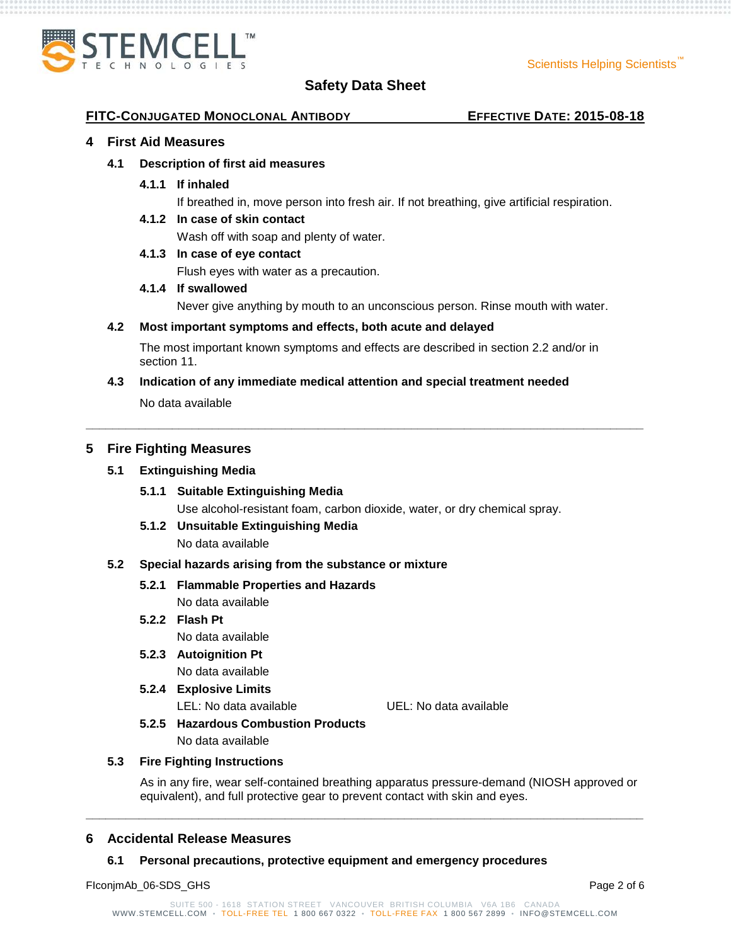

#### **FITC-CONJUGATED MONOCLONAL ANTIBODY EFFECTIVE DATE: 2015-08-18**

#### **4 First Aid Measures**

#### **4.1 Description of first aid measures**

**4.1.1 If inhaled**

If breathed in, move person into fresh air. If not breathing, give artificial respiration.

#### **4.1.2 In case of skin contact**

Wash off with soap and plenty of water.

#### **4.1.3 In case of eye contact**

Flush eyes with water as a precaution.

#### **4.1.4 If swallowed**

Never give anything by mouth to an unconscious person. Rinse mouth with water.

#### **4.2 Most important symptoms and effects, both acute and delayed**

The most important known symptoms and effects are described in section 2.2 and/or in section 11.

**\_\_\_\_\_\_\_\_\_\_\_\_\_\_\_\_\_\_\_\_\_\_\_\_\_\_\_\_\_\_\_\_\_\_\_\_\_\_\_\_\_\_\_\_\_\_\_\_\_\_\_\_\_\_\_\_\_\_\_\_\_\_\_\_\_\_\_\_\_\_\_\_\_\_\_\_\_\_\_\_\_\_\_\_**

#### **4.3 Indication of any immediate medical attention and special treatment needed**

No data available

#### **5 Fire Fighting Measures**

#### **5.1 Extinguishing Media**

- **5.1.1 Suitable Extinguishing Media** Use alcohol-resistant foam, carbon dioxide, water, or dry chemical spray.
- **5.1.2 Unsuitable Extinguishing Media**

No data available

#### **5.2 Special hazards arising from the substance or mixture**

### **5.2.1 Flammable Properties and Hazards**

No data available

## **5.2.2 Flash Pt**

No data available

**5.2.3 Autoignition Pt** No data available

## **5.2.4 Explosive Limits**

LEL: No data available UEL: No data available

## **5.2.5 Hazardous Combustion Products**

No data available

#### **5.3 Fire Fighting Instructions**

As in any fire, wear self-contained breathing apparatus pressure-demand (NIOSH approved or equivalent), and full protective gear to prevent contact with skin and eyes.

#### **6 Accidental Release Measures**

#### **6.1 Personal precautions, protective equipment and emergency procedures**

FIconjmAb\_06-SDS\_GHS Page 2 of 6

**\_\_\_\_\_\_\_\_\_\_\_\_\_\_\_\_\_\_\_\_\_\_\_\_\_\_\_\_\_\_\_\_\_\_\_\_\_\_\_\_\_\_\_\_\_\_\_\_\_\_\_\_\_\_\_\_\_\_\_\_\_\_\_\_\_\_\_\_\_\_\_\_\_\_\_\_\_\_\_\_\_\_\_\_**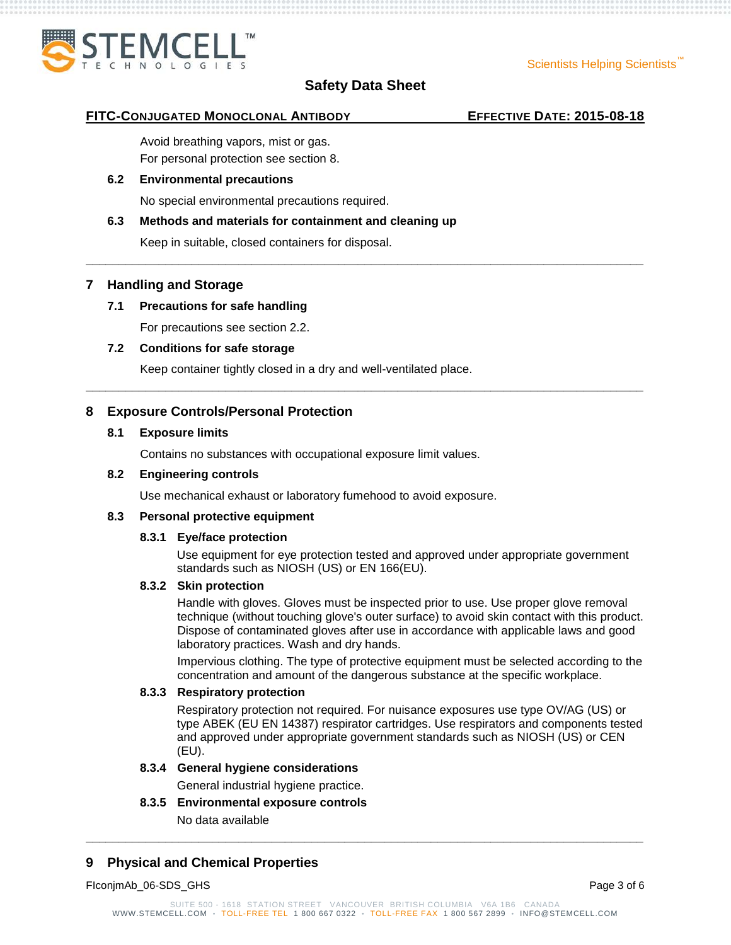

**\_\_\_\_\_\_\_\_\_\_\_\_\_\_\_\_\_\_\_\_\_\_\_\_\_\_\_\_\_\_\_\_\_\_\_\_\_\_\_\_\_\_\_\_\_\_\_\_\_\_\_\_\_\_\_\_\_\_\_\_\_\_\_\_\_\_\_\_\_\_\_\_\_\_\_\_\_\_\_\_\_\_\_\_**

**\_\_\_\_\_\_\_\_\_\_\_\_\_\_\_\_\_\_\_\_\_\_\_\_\_\_\_\_\_\_\_\_\_\_\_\_\_\_\_\_\_\_\_\_\_\_\_\_\_\_\_\_\_\_\_\_\_\_\_\_\_\_\_\_\_\_\_\_\_\_\_\_\_\_\_\_\_\_\_\_\_\_\_\_**

#### **FITC-CONJUGATED MONOCLONAL ANTIBODY EFFECTIVE DATE: 2015-08-18**

Avoid breathing vapors, mist or gas. For personal protection see section 8.

#### **6.2 Environmental precautions**

No special environmental precautions required.

#### **6.3 Methods and materials for containment and cleaning up**

Keep in suitable, closed containers for disposal.

### **7 Handling and Storage**

## **7.1 Precautions for safe handling**

For precautions see section 2.2.

### **7.2 Conditions for safe storage**

Keep container tightly closed in a dry and well-ventilated place.

## **8 Exposure Controls/Personal Protection**

#### **8.1 Exposure limits**

Contains no substances with occupational exposure limit values.

#### **8.2 Engineering controls**

Use mechanical exhaust or laboratory fumehood to avoid exposure.

#### **8.3 Personal protective equipment**

#### **8.3.1 Eye/face protection**

Use equipment for eye protection tested and approved under appropriate government standards such as NIOSH (US) or EN 166(EU).

#### **8.3.2 Skin protection**

Handle with gloves. Gloves must be inspected prior to use. Use proper glove removal technique (without touching glove's outer surface) to avoid skin contact with this product. Dispose of contaminated gloves after use in accordance with applicable laws and good laboratory practices. Wash and dry hands.

Impervious clothing. The type of protective equipment must be selected according to the concentration and amount of the dangerous substance at the specific workplace.

#### **8.3.3 Respiratory protection**

Respiratory protection not required. For nuisance exposures use type OV/AG (US) or type ABEK (EU EN 14387) respirator cartridges. Use respirators and components tested and approved under appropriate government standards such as NIOSH (US) or CEN (EU).

#### **8.3.4 General hygiene considerations**

General industrial hygiene practice.

## **8.3.5 Environmental exposure controls**

No data available

## **9 Physical and Chemical Properties**

FIconjmAb\_06-SDS\_GHS Page 3 of 6

**\_\_\_\_\_\_\_\_\_\_\_\_\_\_\_\_\_\_\_\_\_\_\_\_\_\_\_\_\_\_\_\_\_\_\_\_\_\_\_\_\_\_\_\_\_\_\_\_\_\_\_\_\_\_\_\_\_\_\_\_\_\_\_\_\_\_\_\_\_\_\_\_\_\_\_\_\_\_\_\_\_\_\_\_**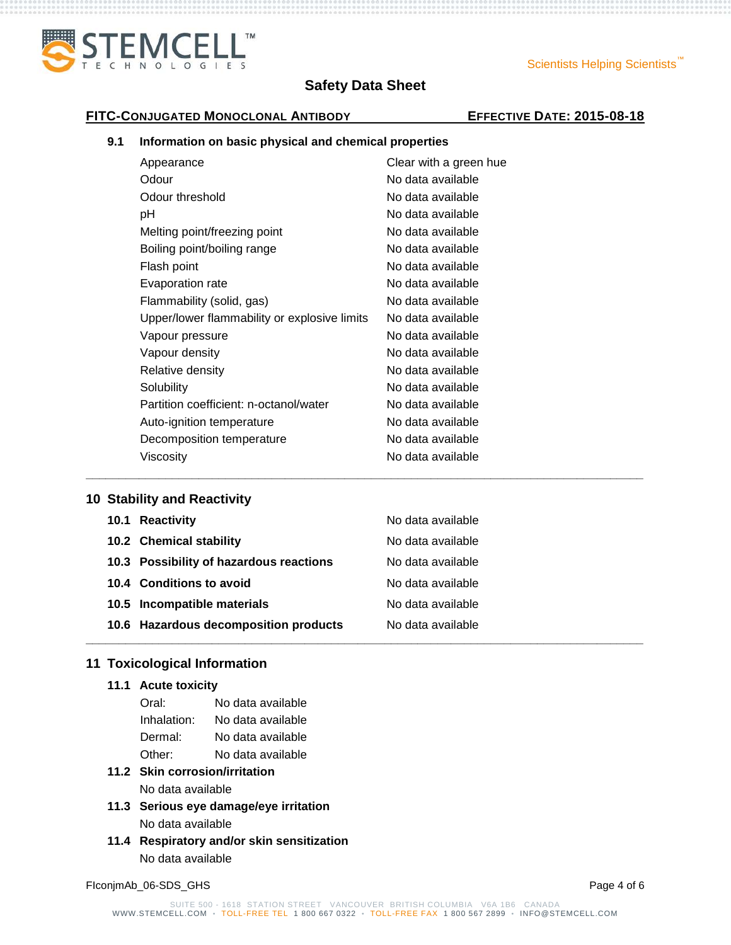

### Scientists Helping Scientists<sup>"</sup>

## **FITC-CONJUGATED MONOCLONAL ANTIBODY EFFECTIVE DATE: 2015-08-18**

#### **9.1 Information on basic physical and chemical properties**

| Clear with a green hue |
|------------------------|
| No data available      |
| No data available      |
| No data available      |
| No data available      |
| No data available      |
| No data available      |
| No data available      |
| No data available      |
| No data available      |
| No data available      |
| No data available      |
| No data available      |
| No data available      |
| No data available      |
| No data available      |
| No data available      |
| No data available      |
|                        |

## **10 Stability and Reactivity**

| 10.1 Reactivity                         | No data available |
|-----------------------------------------|-------------------|
| 10.2 Chemical stability                 | No data available |
| 10.3 Possibility of hazardous reactions | No data available |
| 10.4 Conditions to avoid                | No data available |
| 10.5 Incompatible materials             | No data available |
| 10.6 Hazardous decomposition products   | No data available |
|                                         |                   |

**\_\_\_\_\_\_\_\_\_\_\_\_\_\_\_\_\_\_\_\_\_\_\_\_\_\_\_\_\_\_\_\_\_\_\_\_\_\_\_\_\_\_\_\_\_\_\_\_\_\_\_\_\_\_\_\_\_\_\_\_\_\_\_\_\_\_\_\_\_\_\_\_\_\_\_\_\_\_\_\_\_\_\_\_**

## **11 Toxicological Information**

## **11.1 Acute toxicity**

| Oral:       | No data available |
|-------------|-------------------|
| Inhalation: | No data available |
| Dermal:     | No data available |
| Other:      | No data available |

## **11.2 Skin corrosion/irritation** No data available

- **11.3 Serious eye damage/eye irritation** No data available
- **11.4 Respiratory and/or skin sensitization** No data available

FIconjmAb\_06-SDS\_GHS Page 4 of 6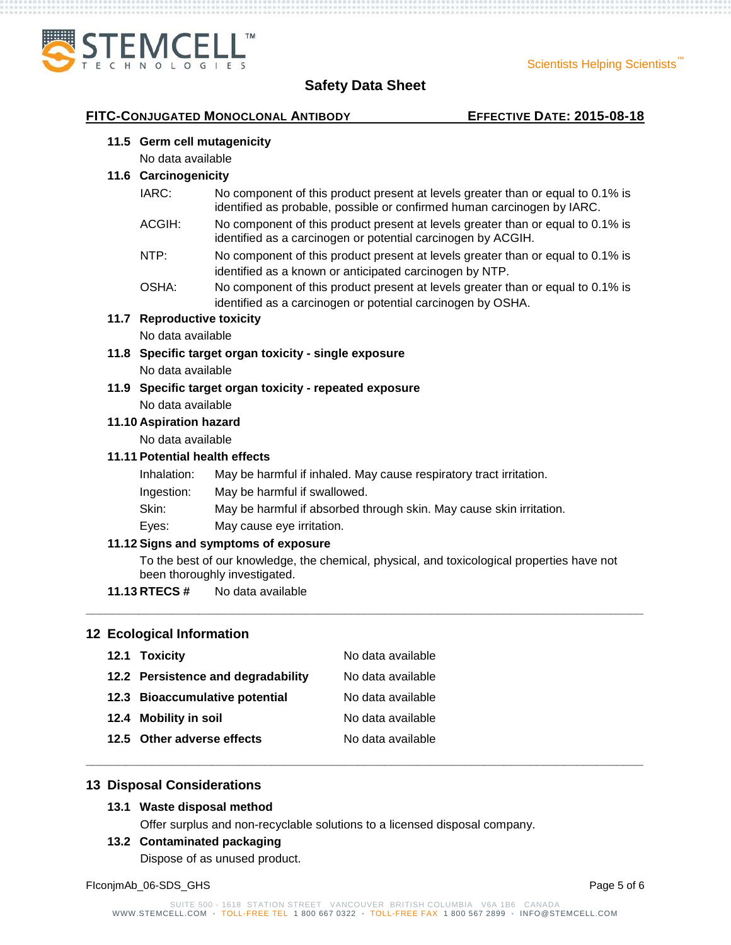

## **FITC-CONJUGATED MONOCLONAL ANTIBODY EFFECTIVE DATE: 2015-08-18**

#### **11.5 Germ cell mutagenicity**

No data available

#### **11.6 Carcinogenicity**

- IARC: No component of this product present at levels greater than or equal to 0.1% is identified as probable, possible or confirmed human carcinogen by IARC.
- ACGIH: No component of this product present at levels greater than or equal to 0.1% is identified as a carcinogen or potential carcinogen by ACGIH.
- NTP: No component of this product present at levels greater than or equal to 0.1% is identified as a known or anticipated carcinogen by NTP.
- OSHA: No component of this product present at levels greater than or equal to 0.1% is identified as a carcinogen or potential carcinogen by OSHA.

#### **11.7 Reproductive toxicity**

No data available

- **11.8 Specific target organ toxicity - single exposure** No data available
- **11.9 Specific target organ toxicity - repeated exposure** No data available

#### **11.10 Aspiration hazard**

No data available

### **11.11 Potential health effects**

- Inhalation: May be harmful if inhaled. May cause respiratory tract irritation.
- Ingestion: May be harmful if swallowed.
- Skin: May be harmful if absorbed through skin. May cause skin irritation.
- Eyes: May cause eye irritation.

#### **11.12 Signs and symptoms of exposure**

To the best of our knowledge, the chemical, physical, and toxicological properties have not been thoroughly investigated.

**\_\_\_\_\_\_\_\_\_\_\_\_\_\_\_\_\_\_\_\_\_\_\_\_\_\_\_\_\_\_\_\_\_\_\_\_\_\_\_\_\_\_\_\_\_\_\_\_\_\_\_\_\_\_\_\_\_\_\_\_\_\_\_\_\_\_\_\_\_\_\_\_\_\_\_\_\_\_\_\_\_\_\_\_**

**\_\_\_\_\_\_\_\_\_\_\_\_\_\_\_\_\_\_\_\_\_\_\_\_\_\_\_\_\_\_\_\_\_\_\_\_\_\_\_\_\_\_\_\_\_\_\_\_\_\_\_\_\_\_\_\_\_\_\_\_\_\_\_\_\_\_\_\_\_\_\_\_\_\_\_\_\_\_\_\_\_\_\_\_**

**11.13 RTECS #** No data available

#### **12 Ecological Information**

| 12.1 Toxicity                      | No data available |
|------------------------------------|-------------------|
| 12.2 Persistence and degradability | No data available |
| 12.3 Bioaccumulative potential     | No data available |
| 12.4 Mobility in soil              | No data available |
| 12.5 Other adverse effects         | No data available |

#### **13 Disposal Considerations**

#### **13.1 Waste disposal method**

Offer surplus and non-recyclable solutions to a licensed disposal company.

#### **13.2 Contaminated packaging**

Dispose of as unused product.

FIconjmAb\_06-SDS\_GHS Page 5 of 6